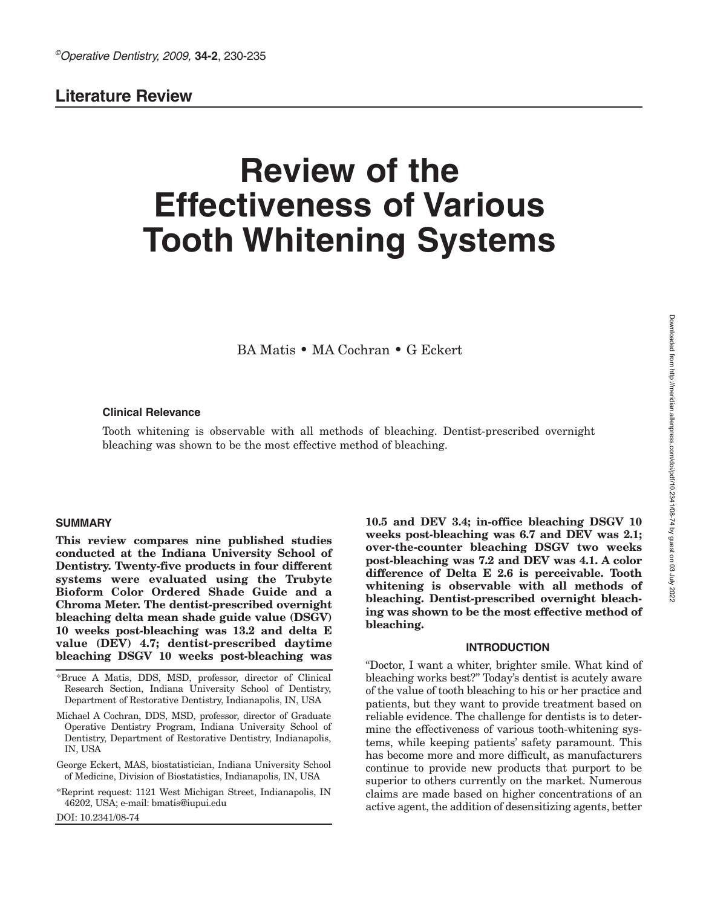# **Literature Review**

# **Review of the Effectiveness of Various Tooth Whitening Systems**

BA Matis • MA Cochran • G Eckert

#### **Clinical Relevance**

Tooth whitening is observable with all methods of bleaching. Dentist-prescribed overnight bleaching was shown to be the most effective method of bleaching.

#### **SUMMARY**

**This review compares nine published studies conducted at the Indiana University School of Dentistry. Twenty-five products in four different systems were evaluated using the Trubyte Bioform Color Ordered Shade Guide and a Chroma Meter. The dentist-prescribed overnight bleaching delta mean shade guide value (DSGV) 10 weeks post-bleaching was 13.2 and delta E value (DEV) 4.7; dentist-prescribed daytime bleaching DSGV 10 weeks post-bleaching was**

\*Bruce A Matis, DDS, MSD, professor, director of Clinical Research Section, Indiana University School of Dentistry, Department of Restorative Dentistry, Indianapolis, IN, USA

Michael A Cochran, DDS, MSD, professor, director of Graduate Operative Dentistry Program, Indiana University School of Dentistry, Department of Restorative Dentistry, Indianapolis, IN, USA

George Eckert, MAS, biostatistician, Indiana University School of Medicine, Division of Biostatistics, Indianapolis, IN, USA

\*Reprint request: 1121 West Michigan Street, Indianapolis, IN 46202, USA; e-mail: bmatis@iupui.edu

DOI: 10.2341/08-74

**10.5 and DEV 3.4; in-office bleaching DSGV 10 weeks post-bleaching was 6.7 and DEV was 2.1; over-the-counter bleaching DSGV two weeks post-bleaching was 7.2 and DEV was 4.1. A color difference of Delta E 2.6 is perceivable. Tooth whitening is observable with all methods of bleaching. Dentist-prescribed overnight bleaching was shown to be the most effective method of bleaching.**

#### **INTRODUCTION**

"Doctor, I want a whiter, brighter smile. What kind of bleaching works best?" Today's dentist is acutely aware of the value of tooth bleaching to his or her practice and patients, but they want to provide treatment based on reliable evidence. The challenge for dentists is to determine the effectiveness of various tooth-whitening systems, while keeping patients' safety paramount. This has become more and more difficult, as manufacturers continue to provide new products that purport to be superior to others currently on the market. Numerous claims are made based on higher concentrations of an active agent, the addition of desensitizing agents, better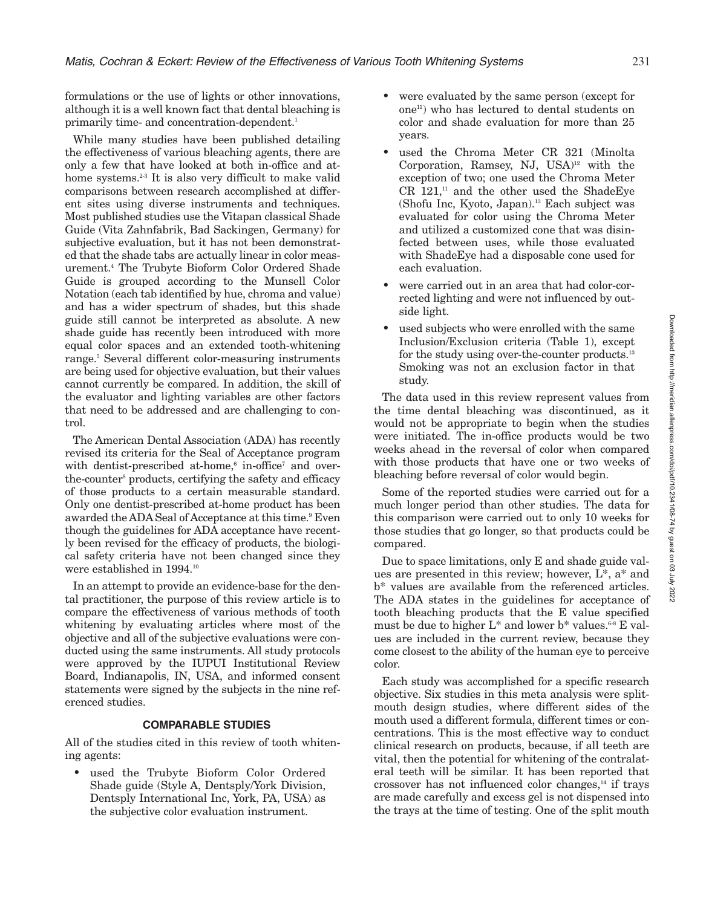formulations or the use of lights or other innovations, although it is a well known fact that dental bleaching is primarily time- and concentration-dependent. 1

While many studies have been published detailing the effectiveness of various bleaching agents, there are only a few that have looked at both in-office and athome systems.<sup>2-3</sup> It is also very difficult to make valid comparisons between research accomplished at different sites using diverse instruments and techniques. Most published studies use the Vitapan classical Shade Guide (Vita Zahnfabrik, Bad Sackingen, Germany) for subjective evaluation, but it has not been demonstrated that the shade tabs are actually linear in color measurement. <sup>4</sup> The Trubyte Bioform Color Ordered Shade Guide is grouped according to the Munsell Color Notation (each tab identified by hue, chroma and value) and has a wider spectrum of shades, but this shade guide still cannot be interpreted as absolute. A new shade guide has recently been introduced with more equal color spaces and an extended tooth-whitening range. <sup>5</sup> Several different color-measuring instruments are being used for objective evaluation, but their values cannot currently be compared. In addition, the skill of the evaluator and lighting variables are other factors that need to be addressed and are challenging to control.

The American Dental Association (ADA) has recently revised its criteria for the Seal of Acceptance program with dentist-prescribed at-home,<sup>6</sup> in-office<sup>7</sup> and overthe-counter8 products, certifying the safety and efficacy of those products to a certain measurable standard. Only one dentist-prescribed at-home product has been awarded the ADA Seal of Acceptance at this time. <sup>9</sup> Even though the guidelines for ADA acceptance have recently been revised for the efficacy of products, the biological safety criteria have not been changed since they were established in 1994.<sup>10</sup>

In an attempt to provide an evidence-base for the dental practitioner, the purpose of this review article is to compare the effectiveness of various methods of tooth whitening by evaluating articles where most of the objective and all of the subjective evaluations were conducted using the same instruments. All study protocols were approved by the IUPUI Institutional Review Board, Indianapolis, IN, USA, and informed consent statements were signed by the subjects in the nine referenced studies.

# **COMPARABLE STUDIES**

All of the studies cited in this review of tooth whitening agents:

used the Trubyte Bioform Color Ordered Shade guide (Style A, Dentsply/York Division, Dentsply International Inc, York, PA, USA) as the subjective color evaluation instrument.

- were evaluated by the same person (except for one11 ) who has lectured to dental students on color and shade evaluation for more than 25 years.
- used the Chroma Meter CR 321 (Minolta Corporation, Ramsey, NJ, USA) <sup>12</sup> with the exception of two; one used the Chroma Meter  $CR$  121.<sup>11</sup> and the other used the ShadeEve (Shofu Inc, Kyoto, Japan). <sup>13</sup> Each subject was evaluated for color using the Chroma Meter and utilized a customized cone that was disinfected between uses, while those evaluated with ShadeEye had a disposable cone used for each evaluation.
- were carried out in an area that had color-corrected lighting and were not influenced by outside light.
- used subjects who were enrolled with the same Inclusion/Exclusion criteria (Table 1), except for the study using over-the-counter products.<sup>13</sup> Smoking was not an exclusion factor in that study.

The data used in this review represent values from the time dental bleaching was discontinued, as it would not be appropriate to begin when the studies were initiated. The in-office products would be two weeks ahead in the reversal of color when compared with those products that have one or two weeks of bleaching before reversal of color would begin.

Some of the reported studies were carried out for a much longer period than other studies. The data for this comparison were carried out to only 10 weeks for those studies that go longer, so that products could be compared.

Due to space limitations, only E and shade guide values are presented in this review; however, L\*, a\* and b\* values are available from the referenced articles. The ADA states in the guidelines for acceptance of tooth bleaching products that the E value specified must be due to higher  $L^*$  and lower b<sup>\*</sup> values.<sup>68</sup> E values are included in the current review, because they come closest to the ability of the human eye to perceive color.

Each study was accomplished for a specific research objective. Six studies in this meta analysis were splitmouth design studies, where different sides of the mouth used a different formula, different times or concentrations. This is the most effective way to conduct clinical research on products, because, if all teeth are vital, then the potential for whitening of the contralateral teeth will be similar. It has been reported that crossover has not influenced color changes, <sup>14</sup> if trays are made carefully and excess gel is not dispensed into the trays at the time of testing. One of the split mouth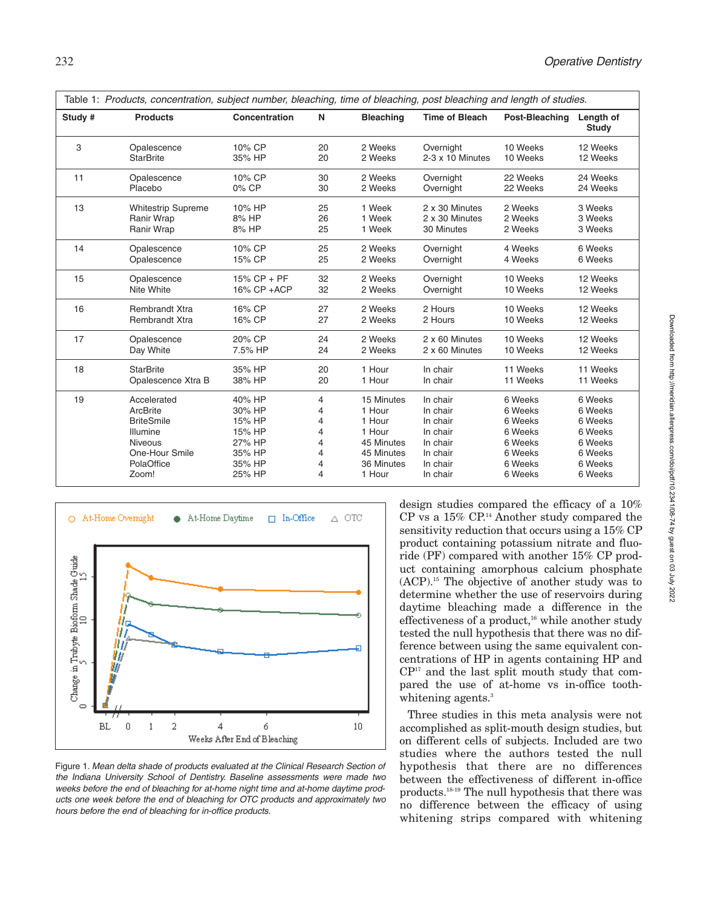|         | Table 1: Products, concentration, subject number, bleaching, time of bleaching, post bleaching and length of studies. |                |    |                  |                       |                |                           |  |
|---------|-----------------------------------------------------------------------------------------------------------------------|----------------|----|------------------|-----------------------|----------------|---------------------------|--|
| Study # | <b>Products</b>                                                                                                       | Concentration  | N  | <b>Bleaching</b> | <b>Time of Bleach</b> | Post-Bleaching | Length of<br><b>Study</b> |  |
| 3       | Opalescence                                                                                                           | 10% CP         | 20 | 2 Weeks          | Overnight             | 10 Weeks       | 12 Weeks                  |  |
|         | <b>StarBrite</b>                                                                                                      | 35% HP         | 20 | 2 Weeks          | 2-3 x 10 Minutes      | 10 Weeks       | 12 Weeks                  |  |
| 11      | Opalescence                                                                                                           | 10% CP         | 30 | 2 Weeks          | Overnight             | 22 Weeks       | 24 Weeks                  |  |
|         | Placebo                                                                                                               | 0% CP          | 30 | 2 Weeks          | Overnight             | 22 Weeks       | 24 Weeks                  |  |
| 13      | <b>Whitestrip Supreme</b>                                                                                             | 10% HP         | 25 | 1 Week           | 2 x 30 Minutes        | 2 Weeks        | 3 Weeks                   |  |
|         | <b>Ranir Wrap</b>                                                                                                     | 8% HP          | 26 | 1 Week           | 2 x 30 Minutes        | 2 Weeks        | 3 Weeks                   |  |
|         | Ranir Wrap                                                                                                            | 8% HP          | 25 | 1 Week           | 30 Minutes            | 2 Weeks        | 3 Weeks                   |  |
| 14      | Opalescence                                                                                                           | 10% CP         | 25 | 2 Weeks          | Overnight             | 4 Weeks        | 6 Weeks                   |  |
|         | Opalescence                                                                                                           | 15% CP         | 25 | 2 Weeks          | Overnight             | 4 Weeks        | 6 Weeks                   |  |
| 15      | Opalescence                                                                                                           | $15\%$ CP + PF | 32 | 2 Weeks          | Overnight             | 10 Weeks       | 12 Weeks                  |  |
|         | Nite White                                                                                                            | 16% CP +ACP    | 32 | 2 Weeks          | Overnight             | 10 Weeks       | 12 Weeks                  |  |
| 16      | <b>Rembrandt Xtra</b>                                                                                                 | 16% CP         | 27 | 2 Weeks          | 2 Hours               | 10 Weeks       | 12 Weeks                  |  |
|         | <b>Rembrandt Xtra</b>                                                                                                 | 16% CP         | 27 | 2 Weeks          | 2 Hours               | 10 Weeks       | 12 Weeks                  |  |
| 17      | Opalescence                                                                                                           | 20% CP         | 24 | 2 Weeks          | 2 x 60 Minutes        | 10 Weeks       | 12 Weeks                  |  |
|         | Day White                                                                                                             | 7.5% HP        | 24 | 2 Weeks          | 2 x 60 Minutes        | 10 Weeks       | 12 Weeks                  |  |
| 18      | <b>StarBrite</b>                                                                                                      | 35% HP         | 20 | 1 Hour           | In chair              | 11 Weeks       | 11 Weeks                  |  |
|         | Opalescence Xtra B                                                                                                    | 38% HP         | 20 | 1 Hour           | In chair              | 11 Weeks       | 11 Weeks                  |  |
| 19      | Accelerated                                                                                                           | 40% HP         | 4  | 15 Minutes       | In chair              | 6 Weeks        | 6 Weeks                   |  |
|         | ArcBrite                                                                                                              | 30% HP         | 4  | 1 Hour           | In chair              | 6 Weeks        | 6 Weeks                   |  |
|         | <b>BriteSmile</b>                                                                                                     | 15% HP         | 4  | 1 Hour           | In chair              | 6 Weeks        | 6 Weeks                   |  |
|         | Illumine                                                                                                              | 15% HP         | 4  | 1 Hour           | In chair              | 6 Weeks        | 6 Weeks                   |  |
|         | <b>Niveous</b>                                                                                                        | 27% HP         | 4  | 45 Minutes       | In chair              | 6 Weeks        | 6 Weeks                   |  |
|         | One-Hour Smile                                                                                                        | 35% HP         | 4  | 45 Minutes       | In chair              | 6 Weeks        | 6 Weeks                   |  |
|         | PolaOffice                                                                                                            | 35% HP         | 4  | 36 Minutes       | In chair              | 6 Weeks        | 6 Weeks                   |  |
|         | Zoom!                                                                                                                 | 25% HP         | 4  | 1 Hour           | In chair              | 6 Weeks        | 6 Weeks                   |  |



Figure 1. *Mean delta shade of products evaluated at the Clinical Research Section of the Indiana University School of Dentistry. Baseline assessments were made two weeks before the end of bleaching for at-home night time and at-home daytime products one week before the end of bleaching for OTC products and approximately two hours before the end of bleaching for in-office products.*

design studies compared the efficacy of a 10% CP vs a 15% CP.14 Another study compared the sensitivity reduction that occurs using a 15% CP product containing potassium nitrate and fluoride (PF) compared with another 15% CP product containing amorphous calcium phosphate (ACP).15 The objective of another study was to determine whether the use of reservoirs during daytime bleaching made a difference in the effectiveness of a product,<sup>16</sup> while another study tested the null hypothesis that there was no difference between using the same equivalent concentrations of HP in agents containing HP and CP17 and the last split mouth study that compared the use of at-home vs in-office toothwhitening agents.<sup>3</sup>

Three studies in this meta analysis were not accomplished as split-mouth design studies, but on different cells of subjects. Included are two studies where the authors tested the null hypothesis that there are no differences between the effectiveness of different in-office products.18-19 The null hypothesis that there was no difference between the efficacy of using whitening strips compared with whitening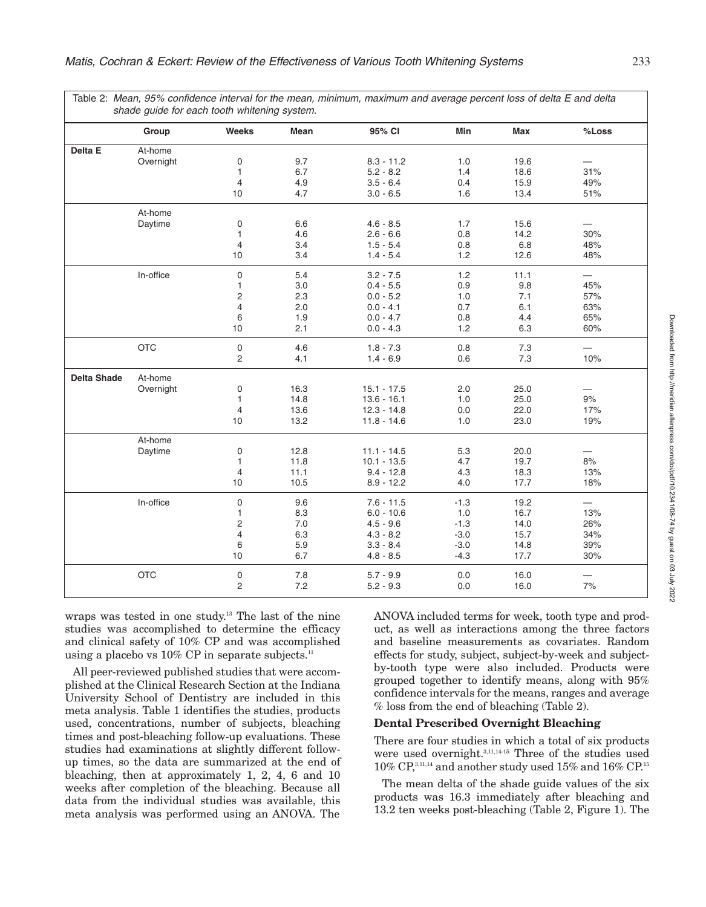|                    | Group      | <b>Weeks</b>        | Mean | 95% CI        | Min    | Max  | %Loss                    |
|--------------------|------------|---------------------|------|---------------|--------|------|--------------------------|
| Delta E            | At-home    |                     |      |               |        |      |                          |
|                    | Overnight  | $\mathbf 0$         | 9.7  | $8.3 - 11.2$  | 1.0    | 19.6 |                          |
|                    |            | $\mathbf{1}$        | 6.7  | $5.2 - 8.2$   | 1.4    | 18.6 | 31%                      |
|                    |            | $\overline{4}$      | 4.9  | $3.5 - 6.4$   | 0.4    | 15.9 | 49%                      |
|                    |            | 10                  | 4.7  | $3.0 - 6.5$   | 1.6    | 13.4 | 51%                      |
|                    | At-home    |                     |      |               |        |      |                          |
|                    | Daytime    | $\mathbf 0$         | 6.6  | $4.6 - 8.5$   | 1.7    | 15.6 |                          |
|                    |            | $\mathbf{1}$        | 4.6  | $2.6 - 6.6$   | 0.8    | 14.2 | 30%                      |
|                    |            | 4                   | 3.4  | $1.5 - 5.4$   | 0.8    | 6.8  | 48%                      |
|                    |            | 10                  | 3.4  | $1.4 - 5.4$   | 1.2    | 12.6 | 48%                      |
|                    | In-office  | $\mathbf 0$         | 5.4  | $3.2 - 7.5$   | 1.2    | 11.1 |                          |
|                    |            | 1                   | 3.0  | $0.4 - 5.5$   | 0.9    | 9.8  | 45%                      |
|                    |            | $\overline{2}$      | 2.3  | $0.0 - 5.2$   | 1.0    | 7.1  | 57%                      |
|                    |            | 4                   | 2.0  | $0.0 - 4.1$   | 0.7    | 6.1  | 63%                      |
|                    |            | 6                   | 1.9  | $0.0 - 4.7$   | 0.8    | 4.4  | 65%                      |
|                    |            | 10                  | 2.1  | $0.0 - 4.3$   | 1.2    | 6.3  | 60%                      |
|                    | <b>OTC</b> | $\mathsf{O}\xspace$ | 4.6  | $1.8 - 7.3$   | 0.8    | 7.3  | —                        |
|                    |            | $\mathbf{2}$        | 4.1  | $1.4 - 6.9$   | 0.6    | 7.3  | 10%                      |
| <b>Delta Shade</b> | At-home    |                     |      |               |        |      |                          |
|                    | Overnight  | $\mathbf 0$         | 16.3 | $15.1 - 17.5$ | 2.0    | 25.0 |                          |
|                    |            | $\mathbf{1}$        | 14.8 | $13.6 - 16.1$ | 1.0    | 25.0 | $9%$                     |
|                    |            | 4                   | 13.6 | $12.3 - 14.8$ | 0.0    | 22.0 | 17%                      |
|                    |            | 10                  | 13.2 | $11.8 - 14.6$ | 1.0    | 23.0 | 19%                      |
|                    | At-home    |                     |      |               |        |      |                          |
|                    | Daytime    | $\mathbf 0$         | 12.8 | $11.1 - 14.5$ | 5.3    | 20.0 |                          |
|                    |            | $\mathbf{1}$        | 11.8 | $10.1 - 13.5$ | 4.7    | 19.7 | 8%                       |
|                    |            | $\overline{4}$      | 11.1 | $9.4 - 12.8$  | 4.3    | 18.3 | 13%                      |
|                    |            | 10                  | 10.5 | $8.9 - 12.2$  | 4.0    | 17.7 | 18%                      |
|                    | In-office  | $\mathsf 0$         | 9.6  | $7.6 - 11.5$  | $-1.3$ | 19.2 | $\overline{\phantom{0}}$ |
|                    |            | 1                   | 8.3  | $6.0 - 10.6$  | 1.0    | 16.7 | 13%                      |
|                    |            | $\overline{2}$      | 7.0  | $4.5 - 9.6$   | $-1.3$ | 14.0 | 26%                      |
|                    |            | 4                   | 6.3  | $4.3 - 8.2$   | $-3.0$ | 15.7 | 34%                      |
|                    |            | 6                   | 5.9  | $3.3 - 8.4$   | $-3.0$ | 14.8 | 39%                      |
|                    |            | 10                  | 6.7  | $4.8 - 8.5$   | $-4.3$ | 17.7 | 30%                      |
|                    | <b>OTC</b> | $\mathsf 0$         | 7.8  | $5.7 - 9.9$   | 0.0    | 16.0 |                          |
|                    |            | $\overline{2}$      | 7.2  | $5.2 - 9.3$   | 0.0    | 16.0 | 7%                       |

wraps was tested in one study. <sup>13</sup> The last of the nine studies was accomplished to determine the efficacy and clinical safety of 10% CP and was accomplished using a placebo vs  $10\%$  CP in separate subjects.<sup>11</sup>

All peer-reviewed published studies that were accomplished at the Clinical Research Section at the Indiana University School of Dentistry are included in this meta analysis. Table 1 identifies the studies, products used, concentrations, number of subjects, bleaching times and post-bleaching follow-up evaluations. These studies had examinations at slightly different followup times, so the data are summarized at the end of bleaching, then at approximately 1, 2, 4, 6 and 10 weeks after completion of the bleaching. Because all data from the individual studies was available, this meta analysis was performed using an ANOVA. The

ANOVA included terms for week, tooth type and product, as well as interactions among the three factors and baseline measurements as covariates. Random effects for study, subject, subject-by-week and subjectby-tooth type were also included. Products were grouped together to identify means, along with 95% confidence intervals for the means, ranges and average % loss from the end of bleaching (Table 2).

# **Dental Prescribed Overnight Bleaching**

There are four studies in which a total of six products were used overnight.<sup>3,11,14-15</sup> Three of the studies used  $10\%$  CP.<sup>3,11,14</sup> and another study used  $15\%$  and  $16\%$  CP.<sup>15</sup>

The mean delta of the shade guide values of the six products was 16.3 immediately after bleaching and 13.2 ten weeks post-bleaching (Table 2, Figure 1). The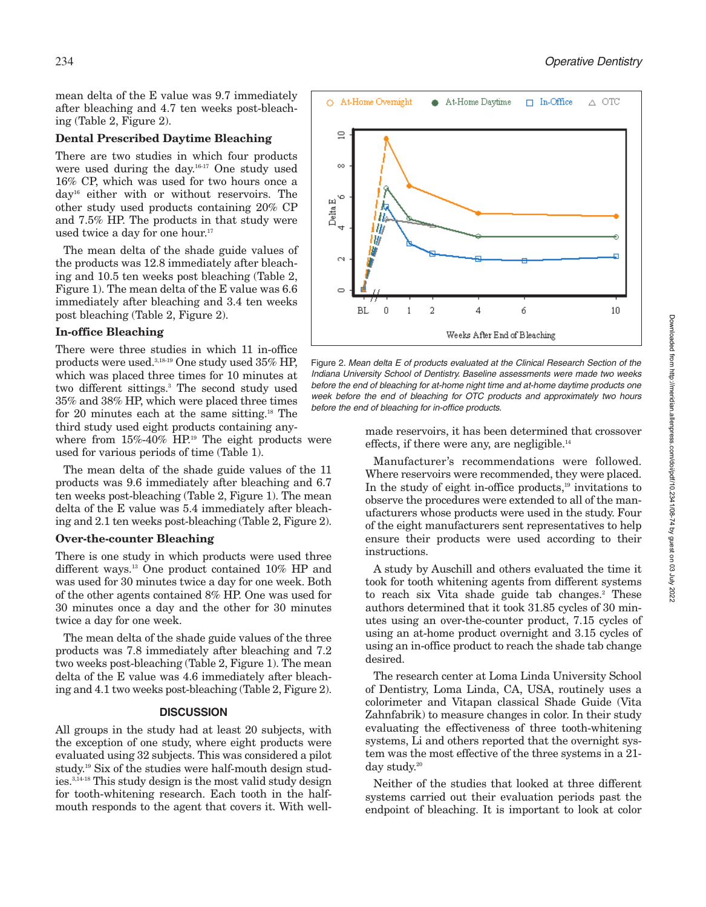mean delta of the E value was 9.7 immediately after bleaching and 4.7 ten weeks post-bleaching (Table 2, Figure 2).

#### **Dental Prescribed Daytime Bleaching**

There are two studies in which four products were used during the day. 16-17 One study used 16% CP, which was used for two hours once a day16 either with or without reservoirs. The other study used products containing 20% CP and 7.5% HP. The products in that study were used twice a day for one hour.<sup>17</sup>

The mean delta of the shade guide values of the products was 12.8 immediately after bleaching and 10.5 ten weeks post bleaching (Table 2, Figure 1). The mean delta of the E value was 6.6 immediately after bleaching and 3.4 ten weeks post bleaching (Table 2, Figure 2).

# **In-office Bleaching**

There were three studies in which 11 in-office products were used.<sup>3,18-19</sup> One study used 35% HP. which was placed three times for 10 minutes at two different sittings. <sup>3</sup> The second study used 35% and 38% HP, which were placed three times for 20 minutes each at the same sitting. <sup>18</sup> The third study used eight products containing any-

where from  $15\% - 40\%$  HP.<sup>19</sup> The eight products were used for various periods of time (Table 1).

The mean delta of the shade guide values of the 11 products was 9.6 immediately after bleaching and 6.7 ten weeks post-bleaching (Table 2, Figure 1). The mean delta of the E value was 5.4 immediately after bleaching and 2.1 ten weeks post-bleaching (Table 2, Figure 2).

#### **Over-the-counter Bleaching**

There is one study in which products were used three different ways. <sup>13</sup> One product contained 10% HP and was used for 30 minutes twice a day for one week. Both of the other agents contained 8% HP. One was used for 30 minutes once a day and the other for 30 minutes twice a day for one week.

The mean delta of the shade guide values of the three products was 7.8 immediately after bleaching and 7.2 two weeks post-bleaching (Table 2, Figure 1). The mean delta of the E value was 4.6 immediately after bleaching and 4.1 two weeks post-bleaching (Table 2, Figure 2).

#### **DISCUSSION**

All groups in the study had at least 20 subjects, with the exception of one study, where eight products were evaluated using 32 subjects. This was considered a pilot study. <sup>19</sup> Six of the studies were half-mouth design studies. 3,14-18 This study design is the most valid study design for tooth-whitening research. Each tooth in the halfmouth responds to the agent that covers it. With well-



Figure 2. *Mean delta E of products evaluated at the Clinical Research Section of the Indiana University School of Dentistry. Baseline assessments were made two weeks before the end of bleaching for at-home night time and at-home daytime products one week before the end of bleaching for OTC products and approximately two hours before the end of bleaching for in-office products.*

made reservoirs, it has been determined that crossover effects, if there were any, are negligible.<sup>14</sup>

Manufacturer's recommendations were followed. Where reservoirs were recommended, they were placed. In the study of eight in-office products, <sup>19</sup> invitations to observe the procedures were extended to all of the manufacturers whose products were used in the study. Four of the eight manufacturers sent representatives to help ensure their products were used according to their instructions.

A study by Auschill and others evaluated the time it took for tooth whitening agents from different systems to reach six Vita shade guide tab changes. <sup>2</sup> These authors determined that it took 31.85 cycles of 30 minutes using an over-the-counter product, 7.15 cycles of using an at-home product overnight and 3.15 cycles of using an in-office product to reach the shade tab change desired.

The research center at Loma Linda University School of Dentistry, Loma Linda, CA, USA, routinely uses a colorimeter and Vitapan classical Shade Guide (Vita Zahnfabrik) to measure changes in color. In their study evaluating the effectiveness of three tooth-whitening systems, Li and others reported that the overnight system was the most effective of the three systems in a 21 day study. 20

Neither of the studies that looked at three different systems carried out their evaluation periods past the endpoint of bleaching. It is important to look at color